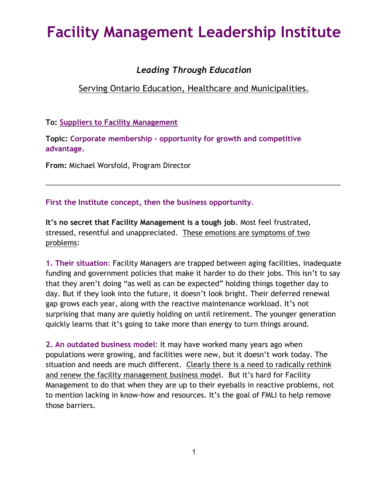*Leading Through Education*

Serving Ontario Education, Healthcare and Municipalities.

\_\_\_\_\_\_\_\_\_\_\_\_\_\_\_\_\_\_\_\_\_\_\_\_\_\_\_\_\_\_\_\_\_\_\_\_\_\_\_\_\_\_\_\_\_\_\_\_\_\_\_\_\_\_\_\_\_\_\_\_\_\_\_\_\_\_\_\_\_\_\_\_\_\_

**To: Suppliers to Facility Management**

**Topic: Corporate membership - opportunity for growth and competitive advantage.**

**From:** Michael Worsfold, Program Director

**First the Institute concept, then the business opportunity**.

**It's no secret that Facility Management is a tough job**. Most feel frustrated, stressed, resentful and unappreciated. These emotions are symptoms of two problems:

**1. Their situation**: Facility Managers are trapped between aging facilities, inadequate funding and government policies that make it harder to do their jobs. This isn't to say that they aren't doing "as well as can be expected" holding things together day to day. But if they look into the future, it doesn't look bright. Their deferred renewal gap grows each year, along with the reactive maintenance workload. It's not surprising that many are quietly holding on until retirement. The younger generation quickly learns that it's going to take more than energy to turn things around.

**2. An outdated business model**: It may have worked many years ago when populations were growing, and facilities were new, but it doesn't work today. The situation and needs are much different. Clearly there is a need to radically rethink and renew the facility management business model. But it's hard for Facility Management to do that when they are up to their eyeballs in reactive problems, not to mention lacking in know-how and resources. It's the goal of FMLI to help remove those barriers.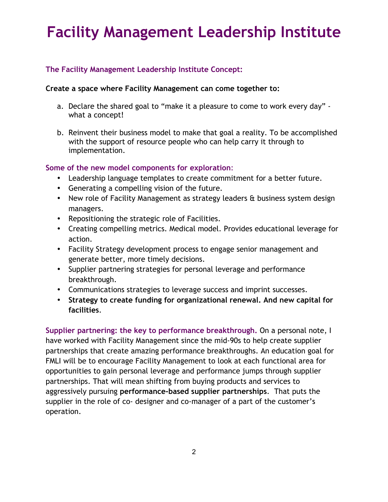### **The Facility Management Leadership Institute Concept:**

#### **Create a space where Facility Management can come together to:**

- a. Declare the shared goal to "make it a pleasure to come to work every day" what a concept!
- b. Reinvent their business model to make that goal a reality. To be accomplished with the support of resource people who can help carry it through to implementation.

#### **Some of the new model components for exploration**:

- Leadership language templates to create commitment for a better future.
- Generating a compelling vision of the future.
- New role of Facility Management as strategy leaders & business system design managers.
- Repositioning the strategic role of Facilities.
- Creating compelling metrics. Medical model. Provides educational leverage for action.
- Facility Strategy development process to engage senior management and generate better, more timely decisions.
- Supplier partnering strategies for personal leverage and performance breakthrough.
- Communications strategies to leverage success and imprint successes.
- **Strategy to create funding for organizational renewal. And new capital for facilities**.

**Supplier partnering: the key to performance breakthrough.** On a personal note, I have worked with Facility Management since the mid-90s to help create supplier partnerships that create amazing performance breakthroughs. An education goal for FMLI will be to encourage Facility Management to look at each functional area for opportunities to gain personal leverage and performance jumps through supplier partnerships. That will mean shifting from buying products and services to aggressively pursuing **performance-based supplier partnerships**. That puts the supplier in the role of co- designer and co-manager of a part of the customer's operation.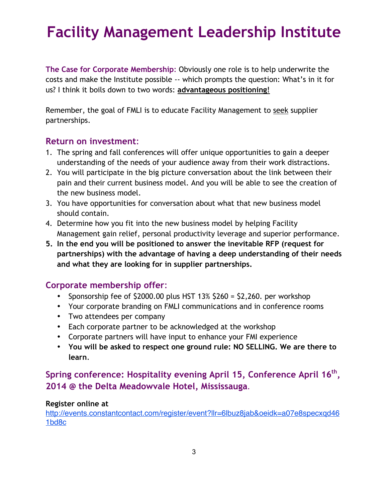**The Case for Corporate Membership**: Obviously one role is to help underwrite the costs and make the Institute possible -- which prompts the question: What's in it for us? I think it boils down to two words: **advantageous positioning**!

Remember, the goal of FMLI is to educate Facility Management to seek supplier partnerships.

### **Return on investment**:

- 1. The spring and fall conferences will offer unique opportunities to gain a deeper understanding of the needs of your audience away from their work distractions.
- 2. You will participate in the big picture conversation about the link between their pain and their current business model. And you will be able to see the creation of the new business model.
- 3. You have opportunities for conversation about what that new business model should contain.
- 4. Determine how you fit into the new business model by helping Facility Management gain relief, personal productivity leverage and superior performance.
- **5. In the end you will be positioned to answer the inevitable RFP (request for partnerships) with the advantage of having a deep understanding of their needs and what they are looking for in supplier partnerships.**

### **Corporate membership offer**:

- Sponsorship fee of  $$2000.00$  plus HST 13%  $$260 = $2,260$ . per workshop
- Your corporate branding on FMLI communications and in conference rooms
- Two attendees per company
- Each corporate partner to be acknowledged at the workshop
- Corporate partners will have input to enhance your FMI experience
- **You will be asked to respect one ground rule: NO SELLING. We are there to learn**.

## Spring conference: Hospitality evening April 15, Conference April 16<sup>th</sup>, **2014 @ the Delta Meadowvale Hotel, Mississauga**.

### **Register online at**

http://events.constantcontact.com/register/event?llr=6lbuz8jab&oeidk=a07e8specxqd46 1bd8c